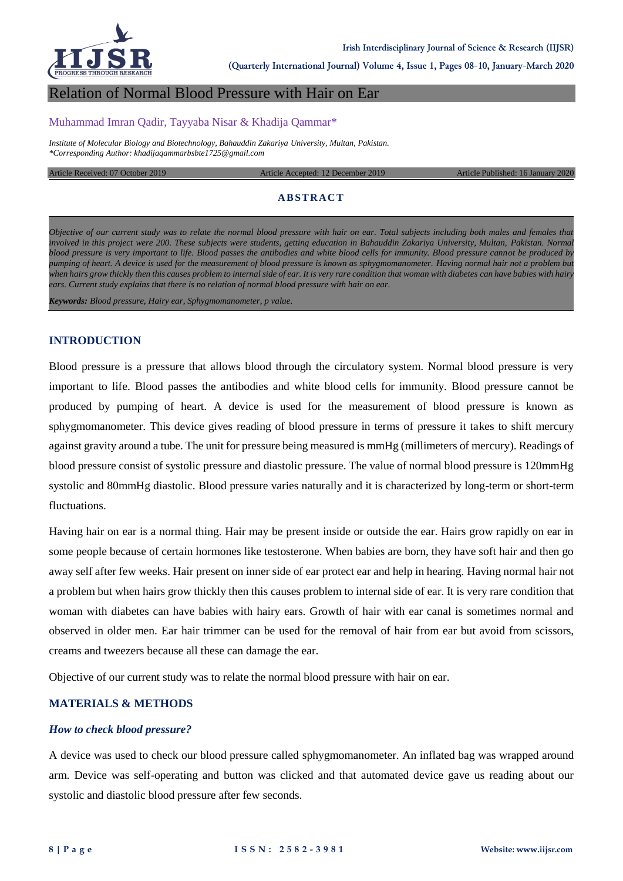

**(Quarterly International Journal) Volume 4, Issue 1, Pages 08-10, January-March 2020**

# Relation of Normal Blood Pressure with Hair on Ear

#### Muhammad Imran Qadir, Tayyaba Nisar & Khadija Qammar\*

*Institute of Molecular Biology and Biotechnology, Bahauddin Zakariya University, Multan, Pakistan. \*Corresponding Author: khadijaqammarbsbte1725@gmail.com*

Article Received: 07 October 2019 Article Accepted: 12 December 2019 Article Published: 16 January 2020

# **ABSTRACT**

*Objective of our current study was to relate the normal blood pressure with hair on ear. Total subjects including both males and females that involved in this project were 200. These subjects were students, getting education in Bahauddin Zakariya University, Multan, Pakistan. Normal blood pressure is very important to life. Blood passes the antibodies and white blood cells for immunity. Blood pressure cannot be produced by pumping of heart. A device is used for the measurement of blood pressure is known as sphygmomanometer. Having normal hair not a problem but when hairs grow thickly then this causes problem to internal side of ear. It is very rare condition that woman with diabetes can have babies with hairy ears. Current study explains that there is no relation of normal blood pressure with hair on ear.*

*Keywords: Blood pressure, Hairy ear, Sphygmomanometer, p value.*

#### **INTRODUCTION**

Blood pressure is a pressure that allows blood through the circulatory system. Normal blood pressure is very important to life. Blood passes the antibodies and white blood cells for immunity. Blood pressure cannot be produced by pumping of heart. A device is used for the measurement of blood pressure is known as sphygmomanometer. This device gives reading of blood pressure in terms of pressure it takes to shift mercury against gravity around a tube. The unit for pressure being measured is mmHg (millimeters of mercury). Readings of blood pressure consist of systolic pressure and diastolic pressure. The value of normal blood pressure is 120mmHg systolic and 80mmHg diastolic. Blood pressure varies naturally and it is characterized by long-term or short-term fluctuations.

Having hair on ear is a normal thing. Hair may be present inside or outside the ear. Hairs grow rapidly on ear in some people because of certain hormones like testosterone. When babies are born, they have soft hair and then go away self after few weeks. Hair present on inner side of ear protect ear and help in hearing. Having normal hair not a problem but when hairs grow thickly then this causes problem to internal side of ear. It is very rare condition that woman with diabetes can have babies with hairy ears. Growth of hair with ear canal is sometimes normal and observed in older men. Ear hair trimmer can be used for the removal of hair from ear but avoid from scissors, creams and tweezers because all these can damage the ear.

Objective of our current study was to relate the normal blood pressure with hair on ear.

#### **MATERIALS & METHODS**

#### *How to check blood pressure?*

A device was used to check our blood pressure called sphygmomanometer. An inflated bag was wrapped around arm. Device was self-operating and button was clicked and that automated device gave us reading about our systolic and diastolic blood pressure after few seconds.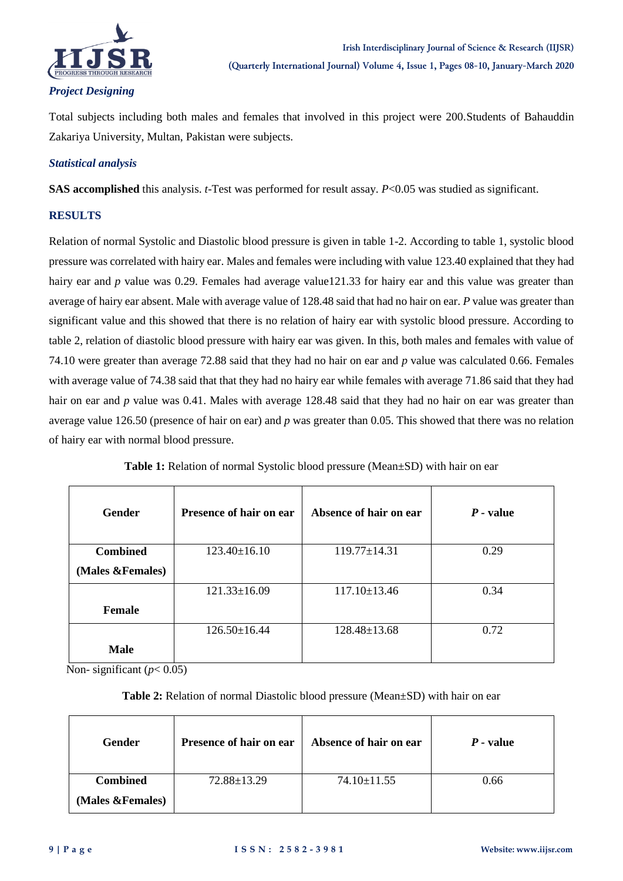

# *Project Designing*

Total subjects including both males and females that involved in this project were 200.Students of Bahauddin Zakariya University, Multan, Pakistan were subjects.

#### *Statistical analysis*

**SAS accomplished** this analysis. *t*-Test was performed for result assay. *P*<0.05 was studied as significant.

## **RESULTS**

Relation of normal Systolic and Diastolic blood pressure is given in table 1-2. According to table 1, systolic blood pressure was correlated with hairy ear. Males and females were including with value 123.40 explained that they had hairy ear and *p* value was 0.29. Females had average value121.33 for hairy ear and this value was greater than average of hairy ear absent. Male with average value of 128.48 said that had no hair on ear. *P* value was greater than significant value and this showed that there is no relation of hairy ear with systolic blood pressure. According to table 2, relation of diastolic blood pressure with hairy ear was given. In this, both males and females with value of 74.10 were greater than average 72.88 said that they had no hair on ear and *p* value was calculated 0.66. Females with average value of 74.38 said that that they had no hairy ear while females with average 71.86 said that they had hair on ear and *p* value was 0.41. Males with average 128.48 said that they had no hair on ear was greater than average value 126.50 (presence of hair on ear) and *p* was greater than 0.05. This showed that there was no relation of hairy ear with normal blood pressure.

| <b>Gender</b>     | Presence of hair on ear | Absence of hair on ear | $P$ - value |
|-------------------|-------------------------|------------------------|-------------|
| <b>Combined</b>   | $123.40 \pm 16.10$      | $119.77 \pm 14.31$     | 0.29        |
| (Males & Females) |                         |                        |             |
|                   | $121.33 \pm 16.09$      | $117.10 \pm 13.46$     | 0.34        |
| <b>Female</b>     |                         |                        |             |
|                   | $126.50 \pm 16.44$      | $128.48 \pm 13.68$     | 0.72        |
| <b>Male</b>       |                         |                        |             |

**Table 1:** Relation of normal Systolic blood pressure (Mean $\pm$ SD) with hair on ear

Non-significant  $(p< 0.05)$ 

## **Table 2:** Relation of normal Diastolic blood pressure (Mean±SD) with hair on ear

| Gender            | <b>Presence of hair on ear</b> | Absence of hair on ear | $P$ - value |
|-------------------|--------------------------------|------------------------|-------------|
| <b>Combined</b>   | 72.88±13.29                    | $74.10 \pm 11.55$      | 0.66        |
| (Males & Females) |                                |                        |             |